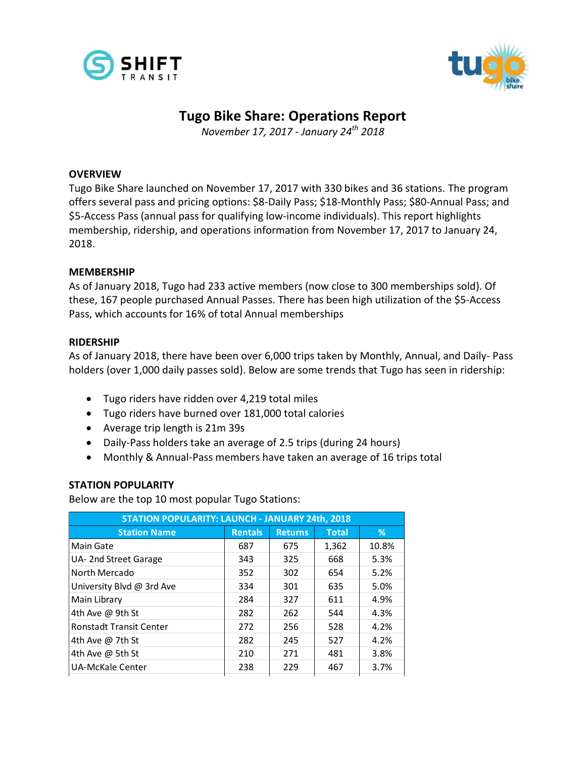



# **Tugo Bike Share: Operations Report**

*November 17, 2017 - January 24th 2018*

#### **OVERVIEW**

Tugo Bike Share launched on November 17, 2017 with 330 bikes and 36 stations. The program offers several pass and pricing options: \$8-Daily Pass; \$18-Monthly Pass; \$80-Annual Pass; and \$5-Access Pass (annual pass for qualifying low-income individuals). This report highlights membership, ridership, and operations information from November 17, 2017 to January 24, 2018.

#### **MEMBERSHIP**

As of January 2018, Tugo had 233 active members (now close to 300 memberships sold). Of these, 167 people purchased Annual Passes. There has been high utilization of the \$5-Access Pass, which accounts for 16% of total Annual memberships

#### **RIDERSHIP**

As of January 2018, there have been over 6,000 trips taken by Monthly, Annual, and Daily- Pass holders (over 1,000 daily passes sold). Below are some trends that Tugo has seen in ridership:

- Tugo riders have ridden over 4,219 total miles
- Tugo riders have burned over 181,000 total calories
- Average trip length is 21m 39s
- Daily-Pass holders take an average of 2.5 trips (during 24 hours)
- Monthly & Annual-Pass members have taken an average of 16 trips total

## **STATION POPULARITY**

Below are the top 10 most popular Tugo Stations:

| <b>STATION POPULARITY: LAUNCH - JANUARY 24th, 2018</b> |                |                |              |       |  |  |  |  |
|--------------------------------------------------------|----------------|----------------|--------------|-------|--|--|--|--|
| <b>Station Name</b>                                    | <b>Rentals</b> | <b>Returns</b> | <b>Total</b> | %     |  |  |  |  |
| Main Gate                                              | 687            | 675            | 1,362        | 10.8% |  |  |  |  |
| UA-2nd Street Garage                                   | 343            | 325            | 668          | 5.3%  |  |  |  |  |
| North Mercado                                          | 352            | 302            | 654          | 5.2%  |  |  |  |  |
| University Blvd @ 3rd Ave                              | 334            | 301            | 635          | 5.0%  |  |  |  |  |
| Main Library                                           | 284            | 327            | 611          | 4.9%  |  |  |  |  |
| 4th Ave @ 9th St                                       | 282            | 262            | 544          | 4.3%  |  |  |  |  |
| <b>Ronstadt Transit Center</b>                         | 272            | 256            | 528          | 4.2%  |  |  |  |  |
| 4th Ave @ 7th St                                       | 282            | 245            | 527          | 4.2%  |  |  |  |  |
| 4th Ave @ 5th St                                       | 210            | 271            | 481          | 3.8%  |  |  |  |  |
| <b>UA-McKale Center</b>                                | 238            | 229            | 467          | 3.7%  |  |  |  |  |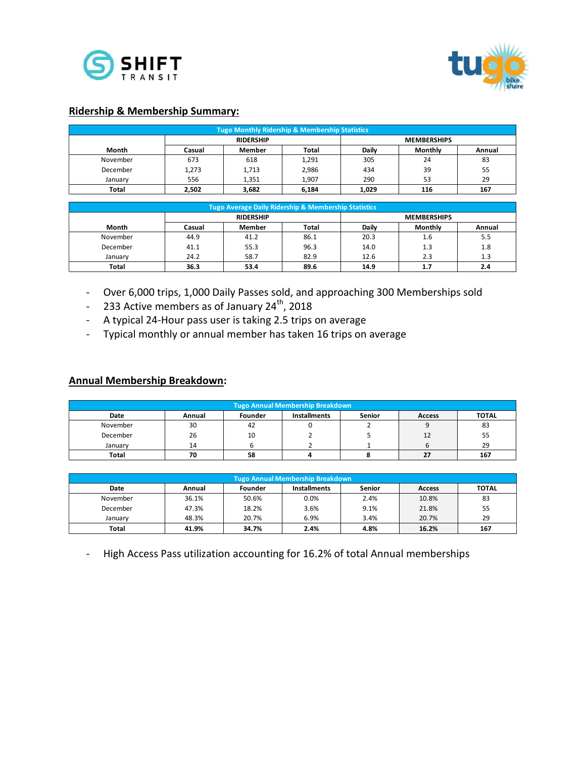



#### **Ridership & Membership Summary:**

|              | <b>Tugo Monthly Ridership &amp; Membership Statistics</b> |               |       |       |                    |        |  |  |
|--------------|-----------------------------------------------------------|---------------|-------|-------|--------------------|--------|--|--|
|              | <b>RIDERSHIP</b>                                          |               |       |       | <b>MEMBERSHIPS</b> |        |  |  |
| Month        | Casual                                                    | <b>Member</b> | Total | Daily | Monthly            | Annual |  |  |
| November     | 673                                                       | 618           | 1,291 | 305   | 24                 | 83     |  |  |
| December     | 1,273                                                     | 1,713         | 2,986 | 434   | 39                 | رر     |  |  |
| January      | 556                                                       | 1,351         | 1,907 | 290   | 53                 | 29     |  |  |
| <b>Total</b> | 2,502                                                     | 3,682         | 6,184 | 1,029 | 116                | 167    |  |  |

|          |                  | Tugo Average Daily Ridership & Membership Statistics <sup>1</sup> |       |       |                    |            |  |  |
|----------|------------------|-------------------------------------------------------------------|-------|-------|--------------------|------------|--|--|
|          | <b>RIDERSHIP</b> |                                                                   |       |       | <b>MEMBERSHIPS</b> |            |  |  |
| Month    | Casual           | Member                                                            | Total | Daily | Monthly            | Annual     |  |  |
| November | 44.9             | 41.2                                                              | 86.1  | 20.3  | L.O                | - -<br>5.5 |  |  |
| December | 41.1             | 55.3                                                              | 96.3  | 14.0  | ر                  | 1.8        |  |  |
| January  | 24.2             | 58.7                                                              | 82.9  | 12.6  | ن . ے              | --         |  |  |
| Total    | 36.3             | 53.4                                                              | 89.6  | 14.9  | .                  | - -<br>4.4 |  |  |

- Over 6,000 trips, 1,000 Daily Passes sold, and approaching 300 Memberships sold
- 233 Active members as of January  $24<sup>th</sup>$ , 2018
- A typical 24-Hour pass user is taking 2.5 trips on average
- Typical monthly or annual member has taken 16 trips on average

#### **Annual Membership Breakdown:**

| <b>Tugo Annual Membership Breakdown</b> |                                                                                            |    |   |  |    |     |  |  |  |
|-----------------------------------------|--------------------------------------------------------------------------------------------|----|---|--|----|-----|--|--|--|
| Date                                    | <b>TOTAL</b><br><b>Senior</b><br><b>Installments</b><br>Founder<br><b>Access</b><br>Annual |    |   |  |    |     |  |  |  |
| November                                | 30                                                                                         | 42 |   |  |    | 83  |  |  |  |
| December                                | 26                                                                                         | 10 | ∸ |  | 12 | 55  |  |  |  |
| January                                 | 14                                                                                         |    |   |  |    | 29  |  |  |  |
| <b>Total</b>                            | 70                                                                                         | 58 |   |  |    | 167 |  |  |  |

| <b>Tugo Annual Membership Breakdown</b>                                              |       |       |      |      |       |     |  |
|--------------------------------------------------------------------------------------|-------|-------|------|------|-------|-----|--|
| Senior<br><b>TOTAL</b><br>Installments<br>Founder<br>Date<br>Annual<br><b>Access</b> |       |       |      |      |       |     |  |
| November                                                                             | 36.1% | 50.6% | 0.0% | 2.4% | 10.8% | 83  |  |
| December                                                                             | 47.3% | 18.2% | 3.6% | 9.1% | 21.8% | 55  |  |
| January                                                                              | 48.3% | 20.7% | 6.9% | 3.4% | 20.7% | 29  |  |
| Total                                                                                | 41.9% | 34.7% | 2.4% | 4.8% | 16.2% | 167 |  |

- High Access Pass utilization accounting for 16.2% of total Annual memberships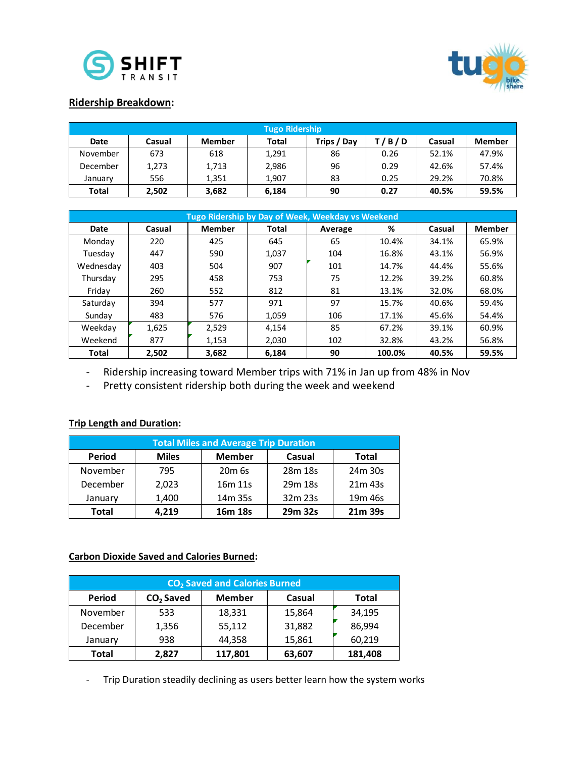



#### **Ridership Breakdown:**

|             | <b>Tugo Ridership</b> |               |       |             |       |        |               |  |
|-------------|-----------------------|---------------|-------|-------------|-------|--------|---------------|--|
| <b>Date</b> | Casual                | <b>Member</b> | Total | Trips / Day | T/B/D | Casual | <b>Member</b> |  |
| November    | 673                   | 618           | 1,291 | 86          | 0.26  | 52.1%  | 47.9%         |  |
| December    | 1,273                 | 1,713         | 2,986 | 96          | 0.29  | 42.6%  | 57.4%         |  |
| January     | 556                   | 1.351         | 1.907 | 83          | 0.25  | 29.2%  | 70.8%         |  |
| Total       | 2,502                 | 3,682         | 6,184 | 90          | 0.27  | 40.5%  | 59.5%         |  |

|              | Tugo Ridership by Day of Week, Weekday vs Weekend |               |              |         |        |        |               |  |  |
|--------------|---------------------------------------------------|---------------|--------------|---------|--------|--------|---------------|--|--|
| Date         | Casual                                            | <b>Member</b> | <b>Total</b> | Average | %      | Casual | <b>Member</b> |  |  |
| Monday       | 220                                               | 425           | 645          | 65      | 10.4%  | 34.1%  | 65.9%         |  |  |
| Tuesday      | 447                                               | 590           | 1.037        | 104     | 16.8%  | 43.1%  | 56.9%         |  |  |
| Wednesday    | 403                                               | 504           | 907          | 101     | 14.7%  | 44.4%  | 55.6%         |  |  |
| Thursday     | 295                                               | 458           | 753          | 75      | 12.2%  | 39.2%  | 60.8%         |  |  |
| Friday       | 260                                               | 552           | 812          | 81      | 13.1%  | 32.0%  | 68.0%         |  |  |
| Saturday     | 394                                               | 577           | 971          | 97      | 15.7%  | 40.6%  | 59.4%         |  |  |
| Sunday       | 483                                               | 576           | 1,059        | 106     | 17.1%  | 45.6%  | 54.4%         |  |  |
| Weekday      | 1,625                                             | 2.529         | 4,154        | 85      | 67.2%  | 39.1%  | 60.9%         |  |  |
| Weekend      | 877                                               | 1,153         | 2,030        | 102     | 32.8%  | 43.2%  | 56.8%         |  |  |
| <b>Total</b> | 2,502                                             | 3,682         | 6,184        | 90      | 100.0% | 40.5%  | 59.5%         |  |  |

- Ridership increasing toward Member trips with 71% in Jan up from 48% in Nov

- Pretty consistent ridership both during the week and weekend

## **Trip Length and Duration:**

|                                                                          | <b>Total Miles and Average Trip Duration</b> |                                 |         |                     |  |  |  |  |
|--------------------------------------------------------------------------|----------------------------------------------|---------------------------------|---------|---------------------|--|--|--|--|
| <b>Miles</b><br><b>Member</b><br><b>Period</b><br>Casual<br><b>Total</b> |                                              |                                 |         |                     |  |  |  |  |
| November                                                                 | 795                                          | 20 <sub>m</sub> 6s              | 28m 18s | 24m 30s             |  |  |  |  |
| December                                                                 | 2,023                                        | 16 <sub>m</sub> 11 <sub>s</sub> | 29m 18s | 21m 43s             |  |  |  |  |
| January                                                                  | 1,400                                        | 14m 35s                         | 32m 23s | 19 <sub>m</sub> 46s |  |  |  |  |
| 4.219<br>29m 32s<br>Total<br>16m 18s<br>21m 39s                          |                                              |                                 |         |                     |  |  |  |  |

#### **Carbon Dioxide Saved and Calories Burned:**

| CO <sub>2</sub> Saved and Calories Burned |                                                           |         |        |         |  |  |  |  |
|-------------------------------------------|-----------------------------------------------------------|---------|--------|---------|--|--|--|--|
| <b>Period</b>                             | CO <sub>2</sub> Saved<br><b>Member</b><br>Casual<br>Total |         |        |         |  |  |  |  |
| November                                  | 533                                                       | 18,331  | 15,864 | 34,195  |  |  |  |  |
| December                                  | 1,356                                                     | 55,112  | 31,882 | 86,994  |  |  |  |  |
| January                                   | 938                                                       | 44,358  | 15,861 | 60,219  |  |  |  |  |
| Total                                     | 2,827                                                     | 117,801 | 63,607 | 181,408 |  |  |  |  |

- Trip Duration steadily declining as users better learn how the system works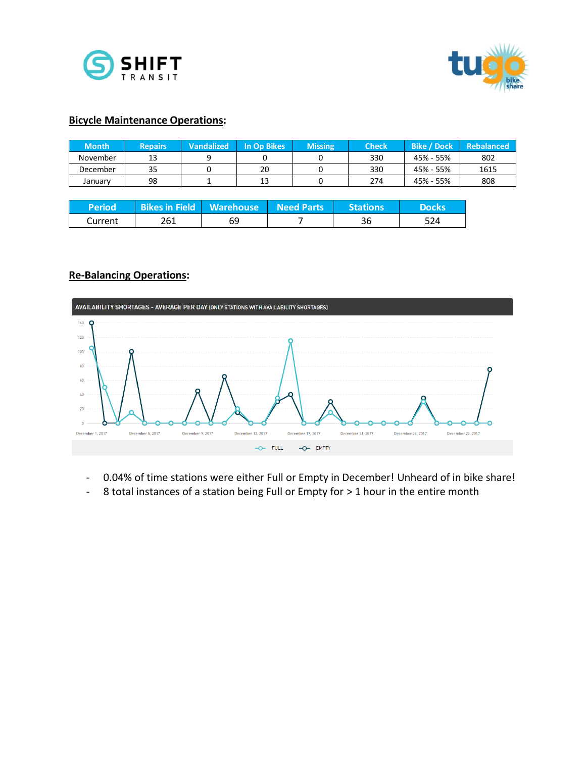



#### **Bicycle Maintenance Operations:**

| Month    | <b>Repairs</b> | <b>Vandalized</b> | <b>In Op Bikes</b> | <b>Missing</b> | <b>Check</b> | <b>Bike / Dock</b> | <b>Rebalanced</b> |
|----------|----------------|-------------------|--------------------|----------------|--------------|--------------------|-------------------|
| November | 13             |                   |                    |                | 330          | 45% - 55%          | 802               |
| December | 35             |                   | 20                 |                | 330          | 45% - 55%          | 1615              |
| January  | 98             |                   | 13                 |                | 274          | 45% - 55%          | 808               |

| 'Period. | Bikes in Field   Warehouse   Need Parts |    | <b>Stations</b> | <b>Docks</b> |
|----------|-----------------------------------------|----|-----------------|--------------|
| Current  | 261                                     | 69 | 36              | 524          |

### **Re-Balancing Operations:**



- 0.04% of time stations were either Full or Empty in December! Unheard of in bike share!
- 8 total instances of a station being Full or Empty for > 1 hour in the entire month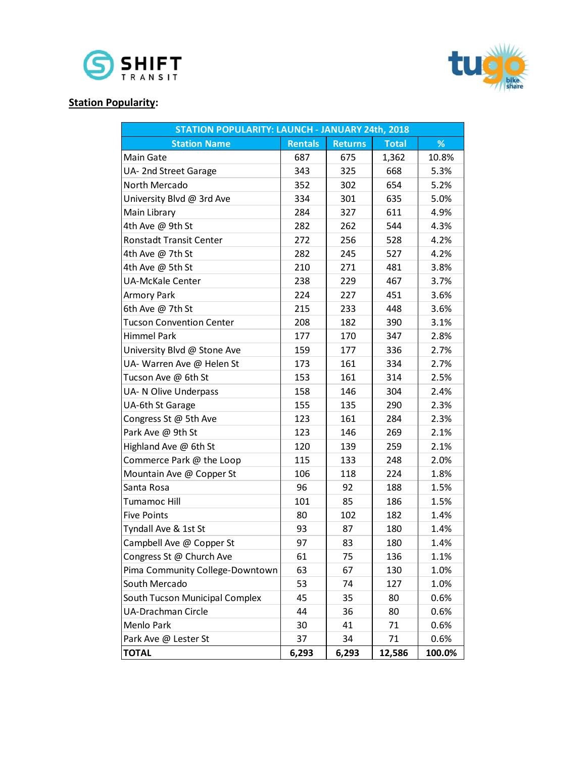



# **Station Popularity:**

| <b>STATION POPULARITY: LAUNCH - JANUARY 24th, 2018</b> |                |                |              |        |
|--------------------------------------------------------|----------------|----------------|--------------|--------|
| <b>Station Name</b>                                    | <b>Rentals</b> | <b>Returns</b> | <b>Total</b> | %      |
| Main Gate                                              | 687            | 675            | 1,362        | 10.8%  |
| UA-2nd Street Garage                                   | 343            | 325            | 668          | 5.3%   |
| North Mercado                                          | 352            | 302            | 654          | 5.2%   |
| University Blvd @ 3rd Ave                              | 334            | 301            | 635          | 5.0%   |
| Main Library                                           | 284            | 327            | 611          | 4.9%   |
| 4th Ave @ 9th St                                       | 282            | 262            | 544          | 4.3%   |
| <b>Ronstadt Transit Center</b>                         | 272            | 256            | 528          | 4.2%   |
| 4th Ave @ 7th St                                       | 282            | 245            | 527          | 4.2%   |
| 4th Ave @ 5th St                                       | 210            | 271            | 481          | 3.8%   |
| <b>UA-McKale Center</b>                                | 238            | 229            | 467          | 3.7%   |
| Armory Park                                            | 224            | 227            | 451          | 3.6%   |
| 6th Ave @ 7th St                                       | 215            | 233            | 448          | 3.6%   |
| <b>Tucson Convention Center</b>                        | 208            | 182            | 390          | 3.1%   |
| Himmel Park                                            | 177            | 170            | 347          | 2.8%   |
| University Blvd @ Stone Ave                            | 159            | 177            | 336          | 2.7%   |
| UA- Warren Ave @ Helen St                              | 173            | 161            | 334          | 2.7%   |
| Tucson Ave @ 6th St                                    | 153            | 161            | 314          | 2.5%   |
| UA- N Olive Underpass                                  | 158            | 146            | 304          | 2.4%   |
| UA-6th St Garage                                       | 155            | 135            | 290          | 2.3%   |
| Congress St @ 5th Ave                                  | 123            | 161            | 284          | 2.3%   |
| Park Ave @ 9th St                                      | 123            | 146            | 269          | 2.1%   |
| Highland Ave @ 6th St                                  | 120            | 139            | 259          | 2.1%   |
| Commerce Park @ the Loop                               | 115            | 133            | 248          | 2.0%   |
| Mountain Ave @ Copper St                               | 106            | 118            | 224          | 1.8%   |
| Santa Rosa                                             | 96             | 92             | 188          | 1.5%   |
| Tumamoc Hill                                           | 101            | 85             | 186          | 1.5%   |
| <b>Five Points</b>                                     | 80             | 102            | 182          | 1.4%   |
| Tyndall Ave & 1st St                                   | 93             | 87             | 180          | 1.4%   |
| Campbell Ave @ Copper St                               | 97             | 83             | 180          | 1.4%   |
| Congress St @ Church Ave                               | 61             | 75             | 136          | 1.1%   |
| Pima Community College-Downtown                        | 63             | 67             | 130          | 1.0%   |
| South Mercado                                          | 53             | 74             | 127          | 1.0%   |
| South Tucson Municipal Complex                         | 45             | 35             | 80           | 0.6%   |
| <b>UA-Drachman Circle</b>                              | 44             | 36             | 80           | 0.6%   |
| Menlo Park                                             | 30             | 41             | 71           | 0.6%   |
| Park Ave @ Lester St                                   | 37             | 34             | 71           | 0.6%   |
| <b>TOTAL</b>                                           | 6,293          | 6,293          | 12,586       | 100.0% |